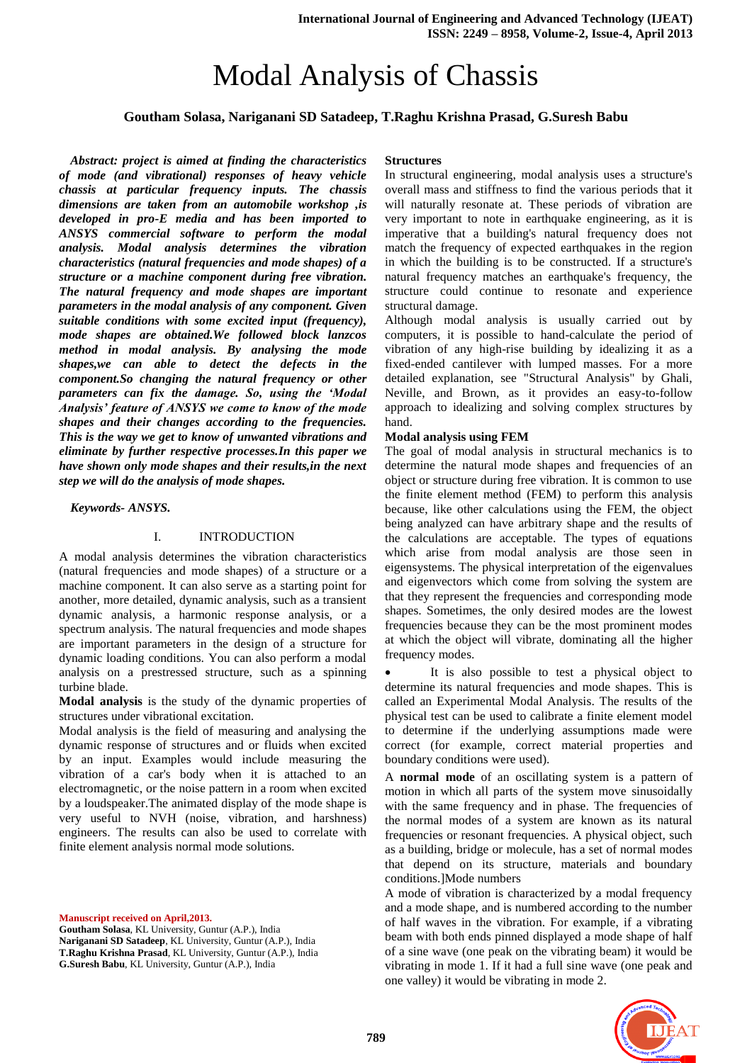# Modal Analysis of Chassis

# **Goutham Solasa, Nariganani SD Satadeep, T.Raghu Krishna Prasad, G.Suresh Babu**

*Abstract: project is aimed at finding the characteristics of mode (and vibrational) responses of heavy vehicle chassis at particular frequency inputs. The chassis dimensions are taken from an automobile workshop ,is developed in pro-E media and has been imported to ANSYS commercial software to perform the modal analysis. Modal analysis determines the vibration characteristics (natural frequencies and mode shapes) of a structure or a machine component during free vibration. The natural frequency and mode shapes are important parameters in the modal analysis of any component. Given suitable conditions with some excited input (frequency), mode shapes are obtained.We followed block lanzcos method in modal analysis. By analysing the mode shapes,we can able to detect the defects in the component.So changing the natural frequency or other parameters can fix the damage. So, using the 'Modal Analysis' feature of ANSYS we come to know of the mode shapes and their changes according to the frequencies. This is the way we get to know of unwanted vibrations and eliminate by further respective processes.In this paper we have shown only mode shapes and their results,in the next step we will do the analysis of mode shapes.* 

*Keywords- ANSYS.*

#### I. INTRODUCTION

A modal analysis determines the vibration characteristics (natural frequencies and mode shapes) of a structure or a machine component. It can also serve as a starting point for another, more detailed, dynamic analysis, such as a transient dynamic analysis, a harmonic response analysis, or a spectrum analysis. The natural frequencies and mode shapes are important parameters in the design of a structure for dynamic loading conditions. You can also perform a modal analysis on a prestressed structure, such as a spinning turbine blade.

**Modal analysis** is the study of the dynamic properties of structures under [vibrational](http://en.wikipedia.org/wiki/Vibration) excitation.

Modal analysis is the field of measuring and analysing the dynamic response of structures and or fluids when excited by an input. Examples would include measuring the vibration of a car's body when it is attached to an [electromagnetic,](http://en.wikipedia.org/wiki/Electromagnetic) or the [noise pattern](http://en.wikipedia.org/w/index.php?title=Noise_pattern&action=edit&redlink=1) in a room when excited by a loudspeaker.The animated display of the mode shape is very useful to [NVH \(noise, vibration, and harshness\)](http://en.wikipedia.org/wiki/Noise,_vibration,_and_harshness) engineers. The results can also be used to correlate with [finite element analysis](http://en.wikipedia.org/wiki/Finite_element_analysis) normal mode solutions.

**Manuscript received on April,2013.**

**Goutham Solasa**, KL University, Guntur (A.P.), India **Nariganani SD Satadeep**, KL University, Guntur (A.P.), India **T.Raghu Krishna Prasad**, KL University, Guntur (A.P.), India **G.Suresh Babu**, KL University, Guntur (A.P.), India

#### **Structures**

In [structural engineering,](http://en.wikipedia.org/wiki/Structural_engineering) modal analysis uses a structure's overall mass and stiffness to find the various periods that it will naturally resonate at. These periods of vibration are very important to note in [earthquake engineering,](http://en.wikipedia.org/wiki/Earthquake_engineering) as it is imperative that a building's natural frequency does not match the [frequency](http://en.wikipedia.org/wiki/Frequency) of expected earthquakes in the region in which the building is to be constructed. If a structure's natural frequency matches an earthquake's frequency, the structure could continue to [resonate](http://en.wikipedia.org/wiki/Resonate) and experience structural damage.

Although modal analysis is usually carried out by [computers,](http://en.wikipedia.org/wiki/Computers) it is possible to hand-calculate the period of [vibration](http://en.wikipedia.org/wiki/Vibration) of any high-rise building by idealizing it as a fixed-ended cantilever with lumped masses. For a more detailed explanation, see "Structural Analysis" by Ghali, Neville, and Brown, as it provides an easy-to-follow approach to idealizing and solving complex structures by hand.

#### **Modal analysis using FEM**

The goal of [modal analysis](http://en.wikipedia.org/wiki/Modal_analysis) in structural mechanics is to determine the natural mode shapes and frequencies of an object or structure during free vibration. It is common to use the [finite element method](http://en.wikipedia.org/wiki/Finite_element_method) (FEM) to perform this analysis because, like other calculations using the FEM, the object being analyzed can have arbitrary shape and the results of the calculations are acceptable. The types of equations which arise from modal analysis are those seen in [eigensystems.](http://en.wikipedia.org/wiki/Eigensystem) The physical interpretation of the [eigenvalues](http://en.wikipedia.org/wiki/Eigenvalues) and [eigenvectors](http://en.wikipedia.org/wiki/Eigenvectors) which come from solving the system are that they represent the frequencies and corresponding mode shapes. Sometimes, the only desired modes are the lowest frequencies because they can be the most prominent modes at which the object will vibrate, dominating all the higher frequency modes.

 It is also possible to test a physical object to determine its natural frequencies and mode shapes. This is called an [Experimental Modal Analysis.](http://en.wikipedia.org/wiki/Modal_analysis) The results of the physical test can be used to calibrate a finite element model to determine if the underlying assumptions made were correct (for example, correct material properties and boundary conditions were used).

A **normal mode** of an [oscillating system](http://en.wikipedia.org/wiki/Oscillation) is a pattern of motion in which all parts of the system move [sinusoidally](http://en.wikipedia.org/wiki/Sinusoidal) with the same frequency and in phase. The frequencies of the normal modes of a system are known as its natural frequencies or resonant frequencies. A physical object, such as a building, bridge or molecule, has a set of normal modes that depend on its structure, materials and boundary conditions.]Mode numbers

A mode of vibration is characterized by a modal frequency and a mode shape, and is numbered according to the number of half waves in the vibration. For example, if a vibrating beam with both ends pinned displayed a mode shape of half of a sine wave (one peak on the vibrating beam) it would be vibrating in mode 1. If it had a full sine wave (one peak and one valley) it would be vibrating in mode 2.

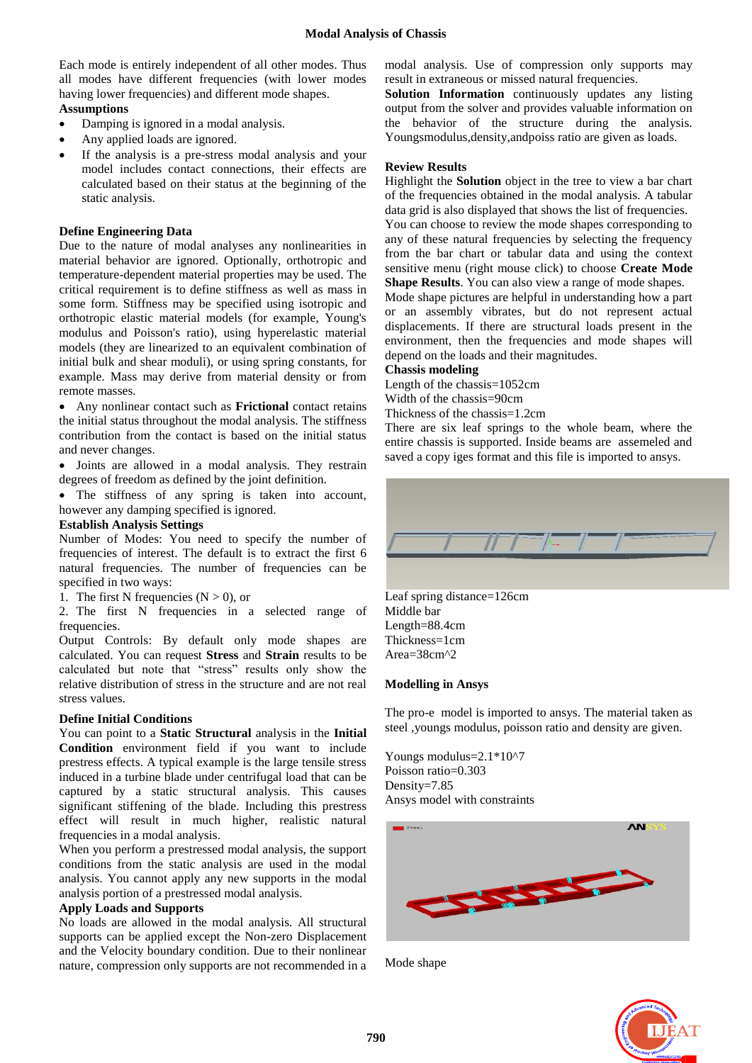Each mode is entirely independent of all other modes. Thus all modes have different frequencies (with lower modes having lower frequencies) and different mode shapes. **Assumptions**

- Damping is ignored in a modal analysis.
- Any applied loads are ignored.
- If the analysis is a pre-stress modal analysis and your model includes contact connections, their effects are calculated based on their status at the beginning of the static analysis.

#### **Define Engineering Data**

Due to the nature of modal analyses any nonlinearities in material behavior are ignored. Optionally, orthotropic and temperature-dependent material properties may be used. The critical requirement is to define stiffness as well as mass in some form. Stiffness may be specified using isotropic and orthotropic elastic material models (for example, Young's modulus and Poisson's ratio), using hyperelastic material models (they are linearized to an equivalent combination of initial bulk and shear moduli), or using spring constants, for example. Mass may derive from material density or from remote masses.

 Any [nonlinear contact such as](file:///C:\Users\VAIO\AppData\Local\Temp\Rar$DIa0.838\ds_Contact_Definition.html%23ds_Contact_Types) **Frictional** contact retains the initial status throughout the modal analysis. The stiffness contribution from the contact is based on the initial status and never changes.

 Joints are allowed in a modal analysis. They restrain degrees of freedom as defined by the joint definition.

• The stiffness of any spring is taken into account, however any damping specified is ignored.

#### **Establish Analysis Settings**

Number of Modes: You need to specify the number of frequencies of interest. The default is to extract the first 6 natural frequencies. The number of frequencies can be specified in two ways:

1. The first N frequencies  $(N > 0)$ , or

2. The first N frequencies in a selected range of frequencies.

[Output Controls:](file:///C:\Users\VAIO\AppData\Local\Temp\Rar$DIa0.838\ds_solve_output_controls.html) By default only mode shapes are calculated. You can request **Stress** and **Strain** results to be calculated but note that "stress" results only show the relative distribution of stress in the structure and are not real stress values.

#### **Define Initial Conditions**

You can point to a **Static Structural** analysis in the **Initial Condition** environment field if you want to include prestress effects. A typical example is the large tensile stress induced in a turbine blade under centrifugal load that can be captured by a static structural analysis. This causes significant stiffening of the blade. Including this prestress effect will result in much higher, realistic natural frequencies in a modal analysis.

When you perform a prestressed modal analysis, the support conditions from the static analysis are used in the modal analysis. You cannot apply any new supports in the modal analysis portion of a prestressed modal analysis.

## **Apply Loads and Supports**

No loads are allowed in the modal analysis. All [structural](file:///C:\Users\VAIO\AppData\Local\Temp\Rar$DIa0.838\ds_Support_Types.html)  [supports](file:///C:\Users\VAIO\AppData\Local\Temp\Rar$DIa0.838\ds_Support_Types.html) can be applied except the Non-zero Displacement and the Velocity boundary condition. Due to their nonlinear nature, compression only supports are not recommended in a

modal analysis. Use of compression only supports may result in extraneous or missed natural frequencies.

**[Solution Information](file:///C:\Users\VAIO\AppData\Local\Temp\Rar$DIa0.838\ds_Nonlinear.html)** continuously updates any listing output from the solver and provides valuable information on the behavior of the structure during the analysis. Youngsmodulus,density,andpoiss ratio are given as loads.

#### **Review Results**

Highlight the **Solution** object in the tree to view a bar chart of the frequencies obtained in the modal analysis. A tabular data grid is also displayed that shows the list of frequencies. You can choose to review the mode shapes corresponding to any of these natural frequencies by selecting the frequency from the bar chart or tabular data and using the context sensitive menu (right mouse click) to choose **Create Mode Shape Results**. You can also view a range of mode shapes. Mode shape pictures are helpful in understanding how a part or an assembly vibrates, but do not represent actual

displacements. If there are structural loads present in the environment, then the frequencies and mode shapes will depend on the loads and their magnitudes.

#### **Chassis modeling**

Length of the chassis=1052cm Width of the chassis=90cm

Thickness of the chassis=1.2cm

There are six leaf springs to the whole beam, where the entire chassis is supported. Inside beams are assemeled and saved a copy iges format and this file is imported to ansys.



Leaf spring distance=126cm Middle bar Length=88.4cm Thickness=1cm Area=38cm^2

#### **Modelling in Ansys**

The pro-e model is imported to ansys. The material taken as steel ,youngs modulus, poisson ratio and density are given.

Youngs modulus=2.1\*10^7 Poisson ratio=0.303 Density=7.85 Ansys model with constraints





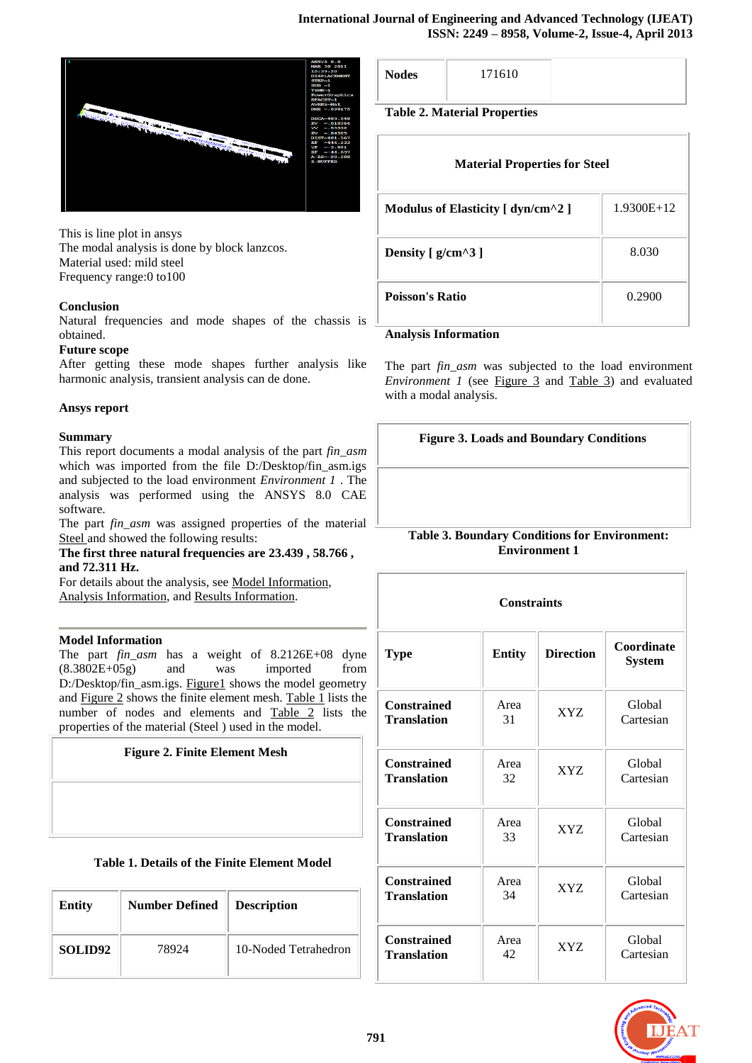

This is line plot in ansys The modal analysis is done by block lanzcos. Material used: mild steel Frequency range:0 to100

# **Conclusion**

Natural frequencies and mode shapes of the chassis is obtained.

#### **Future scope**

After getting these mode shapes further analysis like harmonic analysis, transient analysis can de done.

## **Ansys report**

# **Summary**

This report documents a modal analysis of the part *fin\_asm*  which was imported from the file D:/Desktop/fin\_asm.igs and subjected to the load environment *Environment 1* . The analysis was performed using the ANSYS 8.0 CAE software.

The part *fin asm* was assigned properties of the material [Steel a](file:///I:\New%20Folder\report1.html%23tableMatl)nd showed the following results:

### **The first three natural frequencies are 23.439 , 58.766 , and 72.311 Hz.**

For details about the analysis, se[e Model Information,](file:///I:\New%20Folder\report1.html%23model) [Analysis Information,](file:///I:\New%20Folder\report1.html%23analy) and [Results Information.](file:///I:\New%20Folder\report1.html%23results)

# **Model Information**

The part *fin\_asm* has a weight of 8.2126E+08 dyne (8.3802E+05g) and was imported from D:/Desktop/fin\_asm.igs. [Figure1](file:///I:\New%20Folder\report1.html%23figureGeom) shows the model geometry and [Figure 2](file:///I:\New%20Folder\report1.html%23figureMesh) shows the finite element mesh. [Table 1](file:///I:\New%20Folder\report1.html%23tableElem) lists the number of nodes and elements and [Table 2](file:///I:\New%20Folder\report1.html%23tableMatl) lists the properties of the material (Steel ) used in the model.

# **Figure 2. Finite Element Mesh**

|  |  |  | Table 1. Details of the Finite Element Model |  |
|--|--|--|----------------------------------------------|--|
|  |  |  |                                              |  |

| <b>Entity</b>       | <b>Number Defined</b> | <b>Description</b>   |
|---------------------|-----------------------|----------------------|
| SOLID <sub>92</sub> | 78924                 | 10-Noded Tetrahedron |

|--|

**Table 2. Material Properties**

| <b>Material Properties for Steel</b> |              |  |  |  |  |  |
|--------------------------------------|--------------|--|--|--|--|--|
| Modulus of Elasticity [ dyn/cm^2 ]   | $1.9300E+12$ |  |  |  |  |  |
| Density $[g/cm^{3}]$                 | 8.030        |  |  |  |  |  |
| <b>Poisson's Ratio</b>               | 0.2900       |  |  |  |  |  |

## **Analysis Information**

The part *fin asm* was subjected to the load environment *Environment 1* (see [Figure 3](file:///I:\New%20Folder\report1.html%23figureBC) and [Table 3\)](file:///I:\New%20Folder\report1.html%23tableBC) and evaluated with a modal analysis.

| <b>Figure 3. Loads and Boundary Conditions</b> |  |  |  |  |
|------------------------------------------------|--|--|--|--|
|------------------------------------------------|--|--|--|--|

# **Table 3. Boundary Conditions for Environment: Environment 1**

| <b>Constraints</b> |               |                  |                             |  |  |  |
|--------------------|---------------|------------------|-----------------------------|--|--|--|
| <b>Type</b>        | <b>Entity</b> | <b>Direction</b> | Coordinate<br><b>System</b> |  |  |  |
| <b>Constrained</b> | Area          | <b>XYZ</b>       | Global                      |  |  |  |
| Translation        | 31            |                  | Cartesian                   |  |  |  |
| <b>Constrained</b> | Area          | XYZ              | Global                      |  |  |  |
| <b>Translation</b> | 32            |                  | Cartesian                   |  |  |  |
| <b>Constrained</b> | Area          | XYZ              | Global                      |  |  |  |
| <b>Translation</b> | 33            |                  | Cartesian                   |  |  |  |
| <b>Constrained</b> | Area          | XYZ              | Global                      |  |  |  |
| <b>Translation</b> | 34            |                  | Cartesian                   |  |  |  |
| <b>Constrained</b> | Area          | XYZ              | Global                      |  |  |  |
| Translation        | 42            |                  | Cartesian                   |  |  |  |

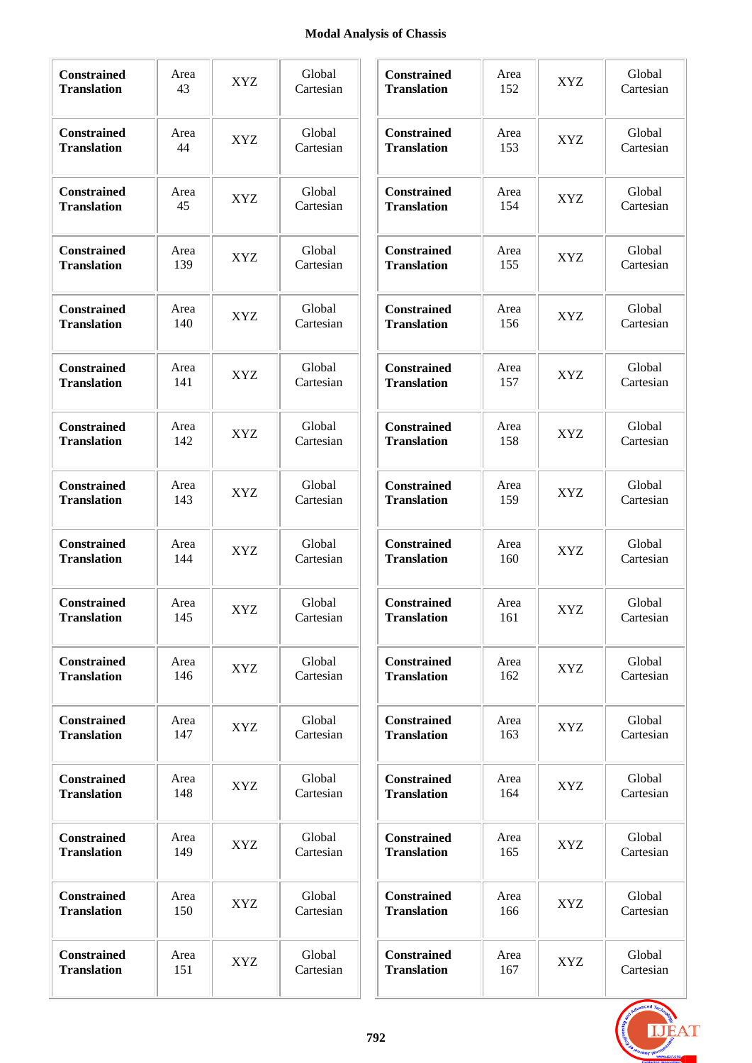# **Modal Analysis of Chassis**

÷.

| <b>Constrained</b><br><b>Translation</b> | Area<br>43  | <b>XYZ</b> | Global<br>Cartesian | <b>Constrained</b><br><b>Translation</b> | Area<br>152 | <b>XYZ</b> | Global<br>Cartesian |
|------------------------------------------|-------------|------------|---------------------|------------------------------------------|-------------|------------|---------------------|
| <b>Constrained</b><br><b>Translation</b> | Area<br>44  | <b>XYZ</b> | Global<br>Cartesian | Constrained<br><b>Translation</b>        | Area<br>153 | <b>XYZ</b> | Global<br>Cartesian |
| <b>Constrained</b><br><b>Translation</b> | Area<br>45  | <b>XYZ</b> | Global<br>Cartesian | Constrained<br><b>Translation</b>        | Area<br>154 | <b>XYZ</b> | Global<br>Cartesian |
| <b>Constrained</b><br><b>Translation</b> | Area<br>139 | <b>XYZ</b> | Global<br>Cartesian | Constrained<br><b>Translation</b>        | Area<br>155 | <b>XYZ</b> | Global<br>Cartesian |
| Constrained<br><b>Translation</b>        | Area<br>140 | <b>XYZ</b> | Global<br>Cartesian | Constrained<br><b>Translation</b>        | Area<br>156 | <b>XYZ</b> | Global<br>Cartesian |
| Constrained<br><b>Translation</b>        | Area<br>141 | XYZ        | Global<br>Cartesian | Constrained<br><b>Translation</b>        | Area<br>157 | XYZ        | Global<br>Cartesian |
| Constrained<br><b>Translation</b>        | Area<br>142 | <b>XYZ</b> | Global<br>Cartesian | Constrained<br><b>Translation</b>        | Area<br>158 | XYZ        | Global<br>Cartesian |
| Constrained<br><b>Translation</b>        | Area<br>143 | <b>XYZ</b> | Global<br>Cartesian | Constrained<br><b>Translation</b>        | Area<br>159 | XYZ        | Global<br>Cartesian |
| Constrained<br><b>Translation</b>        | Area<br>144 | XYZ        | Global<br>Cartesian | Constrained<br><b>Translation</b>        | Area<br>160 | XYZ        | Global<br>Cartesian |
| Constrained<br><b>Translation</b>        | Area<br>145 | <b>XYZ</b> | Global<br>Cartesian | Constrained<br><b>Translation</b>        | Area<br>161 | XYZ        | Global<br>Cartesian |
| Constrained<br><b>Translation</b>        | Area<br>146 | XYZ        | Global<br>Cartesian | <b>Constrained</b><br><b>Translation</b> | Area<br>162 | <b>XYZ</b> | Global<br>Cartesian |
| <b>Constrained</b><br><b>Translation</b> | Area<br>147 | <b>XYZ</b> | Global<br>Cartesian | Constrained<br><b>Translation</b>        | Area<br>163 | XYZ        | Global<br>Cartesian |
| Constrained<br><b>Translation</b>        | Area<br>148 | XYZ        | Global<br>Cartesian | Constrained<br><b>Translation</b>        | Area<br>164 | <b>XYZ</b> | Global<br>Cartesian |
| Constrained<br><b>Translation</b>        | Area<br>149 | XYZ        | Global<br>Cartesian | Constrained<br><b>Translation</b>        | Area<br>165 | <b>XYZ</b> | Global<br>Cartesian |
| <b>Constrained</b><br><b>Translation</b> | Area<br>150 | XYZ        | Global<br>Cartesian | <b>Constrained</b><br><b>Translation</b> | Area<br>166 | XYZ        | Global<br>Cartesian |
| <b>Constrained</b><br><b>Translation</b> | Area<br>151 | <b>XYZ</b> | Global<br>Cartesian | <b>Constrained</b><br><b>Translation</b> | Area<br>167 | <b>XYZ</b> | Global<br>Cartesian |

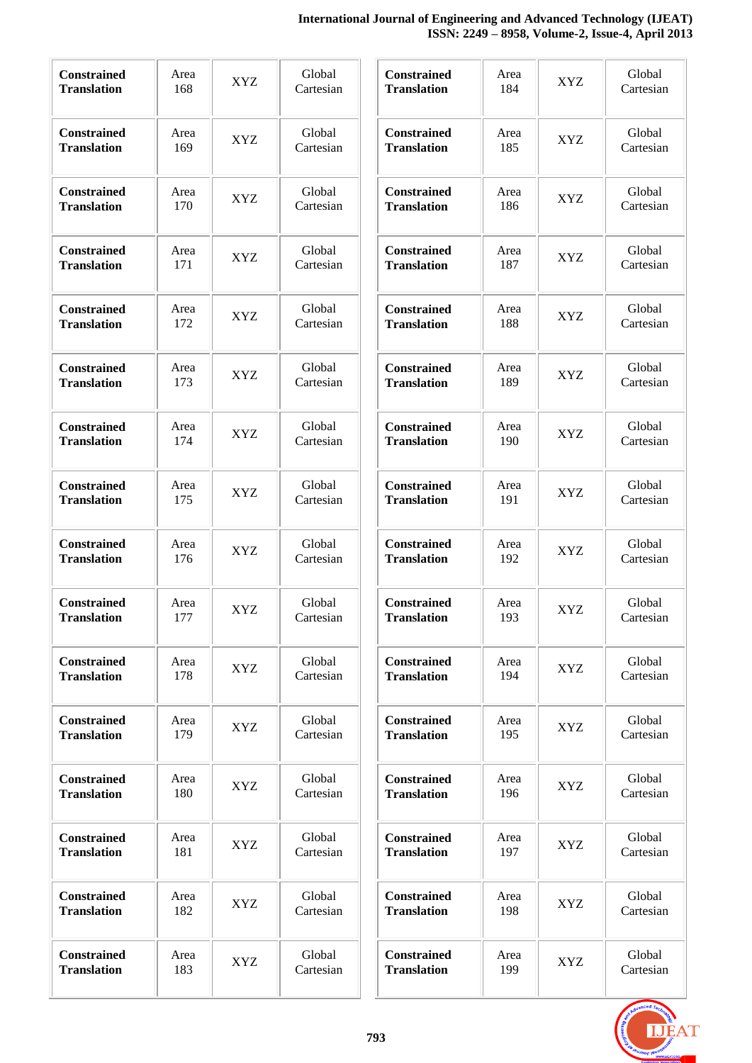# **International Journal of Engineering and Advanced Technology (IJEAT) ISSN: 2249 – 8958, Volume-2, Issue-4, April 2013**

| Constrained<br><b>Translation</b>        | Area<br>168 | <b>XYZ</b> | Global<br>Cartesian | Constrained<br><b>Translation</b>        | Area<br>184 | <b>XYZ</b> | Global<br>Cartesian |
|------------------------------------------|-------------|------------|---------------------|------------------------------------------|-------------|------------|---------------------|
| <b>Constrained</b><br><b>Translation</b> | Area<br>169 | <b>XYZ</b> | Global<br>Cartesian | Constrained<br><b>Translation</b>        | Area<br>185 | <b>XYZ</b> | Global<br>Cartesian |
| <b>Constrained</b><br><b>Translation</b> | Area<br>170 | <b>XYZ</b> | Global<br>Cartesian | Constrained<br><b>Translation</b>        | Area<br>186 | <b>XYZ</b> | Global<br>Cartesian |
| <b>Constrained</b><br><b>Translation</b> | Area<br>171 | <b>XYZ</b> | Global<br>Cartesian | Constrained<br><b>Translation</b>        | Area<br>187 | <b>XYZ</b> | Global<br>Cartesian |
| Constrained<br><b>Translation</b>        | Area<br>172 | XYZ        | Global<br>Cartesian | <b>Constrained</b><br><b>Translation</b> | Area<br>188 | <b>XYZ</b> | Global<br>Cartesian |
| Constrained<br><b>Translation</b>        | Area<br>173 | <b>XYZ</b> | Global<br>Cartesian | Constrained<br><b>Translation</b>        | Area<br>189 | <b>XYZ</b> | Global<br>Cartesian |
| <b>Constrained</b><br><b>Translation</b> | Area<br>174 | <b>XYZ</b> | Global<br>Cartesian | Constrained<br><b>Translation</b>        | Area<br>190 | <b>XYZ</b> | Global<br>Cartesian |
| <b>Constrained</b><br><b>Translation</b> | Area<br>175 | <b>XYZ</b> | Global<br>Cartesian | <b>Constrained</b><br><b>Translation</b> | Area<br>191 | <b>XYZ</b> | Global<br>Cartesian |
| <b>Constrained</b><br><b>Translation</b> | Area<br>176 | <b>XYZ</b> | Global<br>Cartesian | Constrained<br><b>Translation</b>        | Area<br>192 | <b>XYZ</b> | Global<br>Cartesian |
| Constrained<br><b>Translation</b>        | Area<br>177 | <b>XYZ</b> | Global<br>Cartesian | Constrained<br><b>Translation</b>        | Area<br>193 | <b>XYZ</b> | Global<br>Cartesian |
| <b>Constrained</b><br><b>Translation</b> | Area<br>178 | XYZ        | Global<br>Cartesian | <b>Constrained</b><br><b>Translation</b> | Area<br>194 | XYZ        | Global<br>Cartesian |
| <b>Constrained</b><br><b>Translation</b> | Area<br>179 | XYZ        | Global<br>Cartesian | <b>Constrained</b><br><b>Translation</b> | Area<br>195 | <b>XYZ</b> | Global<br>Cartesian |
| <b>Constrained</b><br><b>Translation</b> | Area<br>180 | XYZ        | Global<br>Cartesian | <b>Constrained</b><br><b>Translation</b> | Area<br>196 | <b>XYZ</b> | Global<br>Cartesian |
| <b>Constrained</b><br><b>Translation</b> | Area<br>181 | XYZ        | Global<br>Cartesian | <b>Constrained</b><br><b>Translation</b> | Area<br>197 | <b>XYZ</b> | Global<br>Cartesian |
| <b>Constrained</b><br><b>Translation</b> | Area<br>182 | XYZ        | Global<br>Cartesian | <b>Constrained</b><br><b>Translation</b> | Area<br>198 | XYZ        | Global<br>Cartesian |
| <b>Constrained</b><br><b>Translation</b> | Area<br>183 | XYZ        | Global<br>Cartesian | <b>Constrained</b><br><b>Translation</b> | Area<br>199 | XYZ        | Global<br>Cartesian |

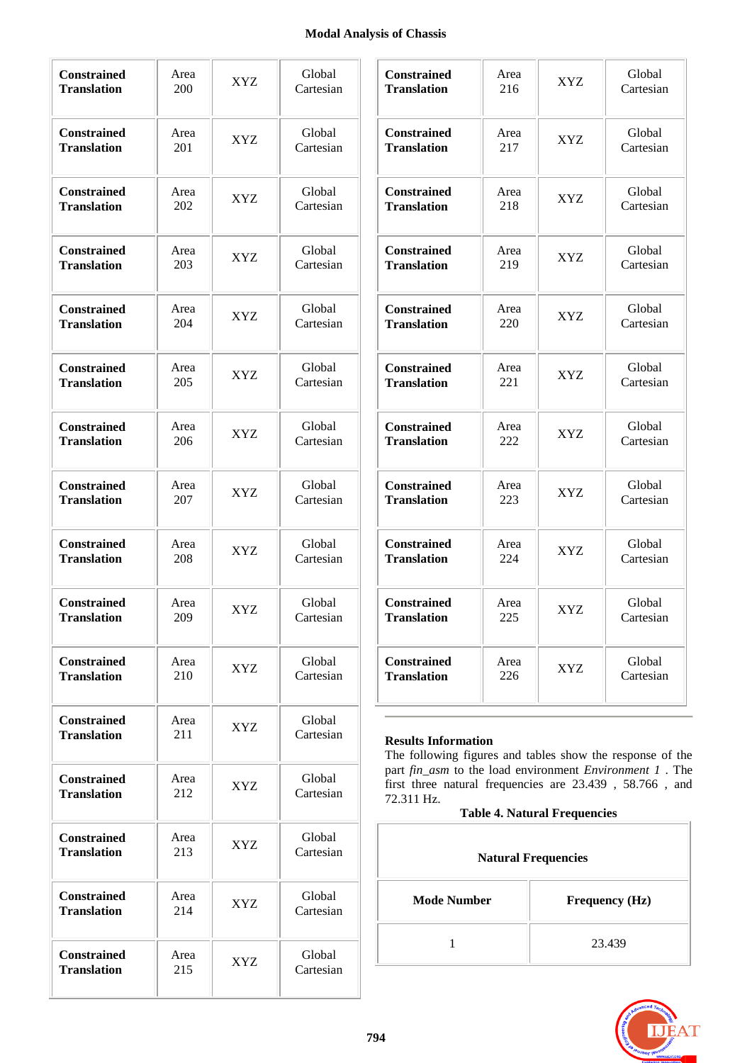# **Modal Analysis of Chassis**

| <b>Constrained</b> | Area | XYZ        | Global    |
|--------------------|------|------------|-----------|
| <b>Translation</b> | 200  |            | Cartesian |
| <b>Constrained</b> | Area | XYZ        | Global    |
| <b>Translation</b> | 201  |            | Cartesian |
| <b>Constrained</b> | Area | <b>XYZ</b> | Global    |
| <b>Translation</b> | 202  |            | Cartesian |
| <b>Constrained</b> | Area | XYZ        | Global    |
| <b>Translation</b> | 203  |            | Cartesian |
| <b>Constrained</b> | Area | <b>XYZ</b> | Global    |
| <b>Translation</b> | 204  |            | Cartesian |
| <b>Constrained</b> | Area | XYZ        | Global    |
| <b>Translation</b> | 205  |            | Cartesian |
| <b>Constrained</b> | Area | <b>XYZ</b> | Global    |
| <b>Translation</b> | 206  |            | Cartesian |
| <b>Constrained</b> | Area | XYZ.       | Global    |
| <b>Translation</b> | 207  |            | Cartesian |
| <b>Constrained</b> | Area | <b>XYZ</b> | Global    |
| <b>Translation</b> | 208  |            | Cartesian |
| <b>Constrained</b> | Area | <b>XYZ</b> | Global    |
| <b>Translation</b> | 209  |            | Cartesian |
| <b>Constrained</b> | Area | XYZ        | Global    |
| <b>Translation</b> | 210  |            | Cartesian |
| <b>Constrained</b> | Area | XYZ        | Global    |
| <b>Translation</b> | 211  |            | Cartesian |
| <b>Constrained</b> | Area | XYZ        | Global    |
| <b>Translation</b> | 212  |            | Cartesian |
| <b>Constrained</b> | Area | XYZ        | Global    |
| <b>Translation</b> | 213  |            | Cartesian |
| <b>Constrained</b> | Area | XYZ        | Global    |
| <b>Translation</b> | 214  |            | Cartesian |
| <b>Constrained</b> | Area | XYZ        | Global    |
| <b>Translation</b> | 215  |            | Cartesian |

| <b>Constrained</b> | Area | XYZ | Global    |
|--------------------|------|-----|-----------|
| <b>Translation</b> | 216  |     | Cartesian |
| <b>Constrained</b> | Area | XYZ | Global    |
| <b>Translation</b> | 217  |     | Cartesian |
| <b>Constrained</b> | Area | XYZ | Global    |
| <b>Translation</b> | 218  |     | Cartesian |
| <b>Constrained</b> | Area | XYZ | Global    |
| <b>Translation</b> | 219  |     | Cartesian |
| <b>Constrained</b> | Area | XYZ | Global    |
| <b>Translation</b> | 220  |     | Cartesian |
| <b>Constrained</b> | Area | XYZ | Global    |
| <b>Translation</b> | 221  |     | Cartesian |
| <b>Constrained</b> | Area | XYZ | Global    |
| <b>Translation</b> | 222  |     | Cartesian |
| <b>Constrained</b> | Area | XYZ | Global    |
| <b>Translation</b> | 223  |     | Cartesian |
| <b>Constrained</b> | Area | XYZ | Global    |
| <b>Translation</b> | 224  |     | Cartesian |
| <b>Constrained</b> | Area | XYZ | Global    |
| <b>Translation</b> | 225  |     | Cartesian |
| <b>Constrained</b> | Area | XYZ | Global    |
| <b>Translation</b> | 226  |     | Cartesian |

# **Results Information**

The following figures and tables show the response of the part *fin\_asm* to the load environment *Environment 1* . The first three natural frequencies are 23.439 , 58.766 , and 72.311 Hz.

# **Table 4. Natural Frequencies**

| <b>Natural Frequencies</b> |                       |  |  |  |  |
|----------------------------|-----------------------|--|--|--|--|
| <b>Mode Number</b>         | <b>Frequency (Hz)</b> |  |  |  |  |
|                            | 23.439                |  |  |  |  |